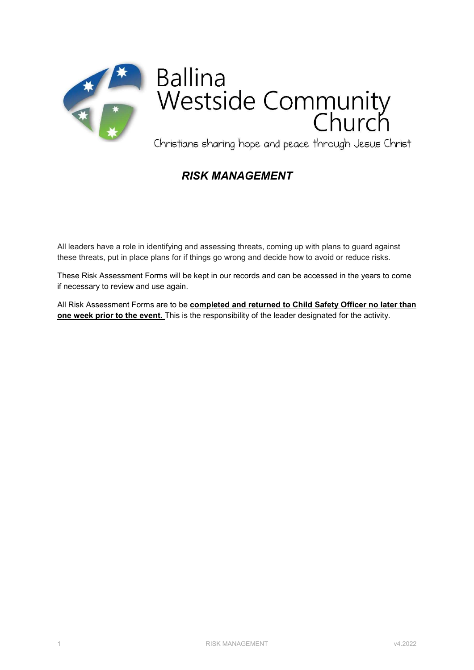

# **Ballina** Westside Community

Christians sharing hope and peace through Jesus Christ

## RISK MANAGEMENT

All leaders have a role in identifying and assessing threats, coming up with plans to guard against these threats, put in place plans for if things go wrong and decide how to avoid or reduce risks.

These Risk Assessment Forms will be kept in our records and can be accessed in the years to come if necessary to review and use again.

All Risk Assessment Forms are to be completed and returned to Child Safety Officer no later than one week prior to the event. This is the responsibility of the leader designated for the activity.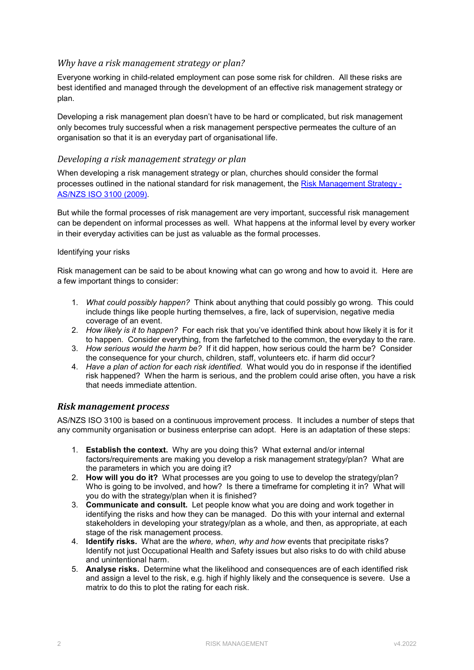#### Why have a risk management strategy or plan?

Everyone working in child-related employment can pose some risk for children. All these risks are best identified and managed through the development of an effective risk management strategy or plan.

Developing a risk management plan doesn't have to be hard or complicated, but risk management only becomes truly successful when a risk management perspective permeates the culture of an organisation so that it is an everyday part of organisational life.

#### Developing a risk management strategy or plan

When developing a risk management strategy or plan, churches should consider the formal processes outlined in the national standard for risk management, the Risk Management Strategy - AS/NZS ISO 3100 (2009).

But while the formal processes of risk management are very important, successful risk management can be dependent on informal processes as well. What happens at the informal level by every worker in their everyday activities can be just as valuable as the formal processes.

#### Identifying your risks

Risk management can be said to be about knowing what can go wrong and how to avoid it. Here are a few important things to consider:

- 1. What could possibly happen? Think about anything that could possibly go wrong. This could include things like people hurting themselves, a fire, lack of supervision, negative media coverage of an event.
- 2. How likely is it to happen? For each risk that you've identified think about how likely it is for it to happen. Consider everything, from the farfetched to the common, the everyday to the rare.
- 3. How serious would the harm be? If it did happen, how serious could the harm be? Consider the consequence for your church, children, staff, volunteers etc. if harm did occur?
- 4. Have a plan of action for each risk identified. What would you do in response if the identified risk happened? When the harm is serious, and the problem could arise often, you have a risk that needs immediate attention.

#### Risk management process

AS/NZS ISO 3100 is based on a continuous improvement process. It includes a number of steps that any community organisation or business enterprise can adopt. Here is an adaptation of these steps:

- 1. Establish the context. Why are you doing this? What external and/or internal factors/requirements are making you develop a risk management strategy/plan? What are the parameters in which you are doing it?
- 2. How will you do it? What processes are you going to use to develop the strategy/plan? Who is going to be involved, and how? Is there a timeframe for completing it in? What will you do with the strategy/plan when it is finished?
- 3. Communicate and consult. Let people know what you are doing and work together in identifying the risks and how they can be managed. Do this with your internal and external stakeholders in developing your strategy/plan as a whole, and then, as appropriate, at each stage of the risk management process.
- 4. **Identify risks.** What are the where, when, why and how events that precipitate risks? Identify not just Occupational Health and Safety issues but also risks to do with child abuse and unintentional harm.
- 5. Analyse risks. Determine what the likelihood and consequences are of each identified risk and assign a level to the risk, e.g. high if highly likely and the consequence is severe. Use a matrix to do this to plot the rating for each risk.